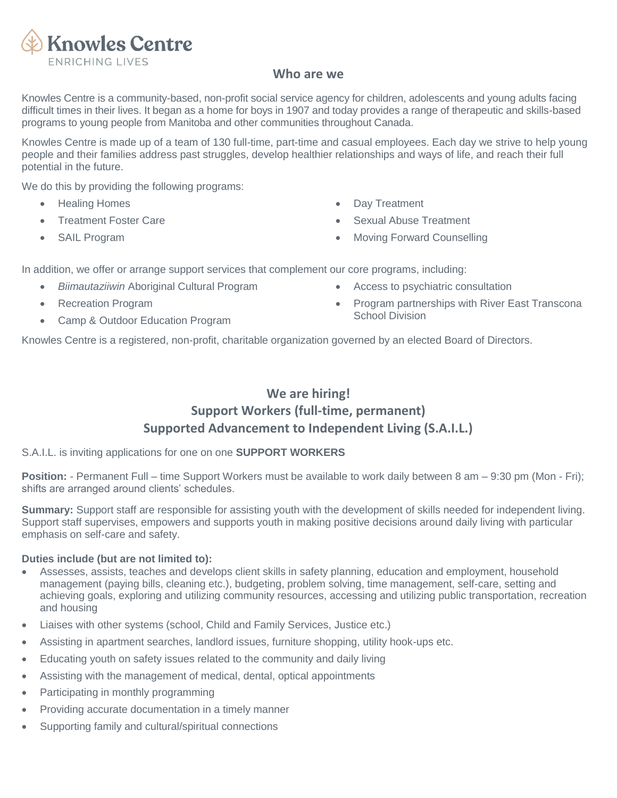

### **Who are we**

Knowles Centre is a community-based, non-profit social service agency for children, adolescents and young adults facing difficult times in their lives. It began as a home for boys in 1907 and today provides a range of therapeutic and skills-based programs to young people from Manitoba and other communities throughout Canada.

Knowles Centre is made up of a team of 130 full-time, part-time and casual employees. Each day we strive to help young people and their families address past struggles, develop healthier relationships and ways of life, and reach their full potential in the future.

We do this by providing the following programs:

- Healing Homes
- Treatment Foster Care
- SAIL Program
- **Day Treatment**
- **Sexual Abuse Treatment**
- Moving Forward Counselling

In addition, we offer or arrange support services that complement our core programs, including:

- *Biimautaziiwin* Aboriginal Cultural Program
- Recreation Program
- Camp & Outdoor Education Program
- Access to psychiatric consultation
- Program partnerships with River East Transcona School Division

Knowles Centre is a registered, non-profit, charitable organization governed by an elected Board of Directors.

# **We are hiring! Support Workers (full-time, permanent) Supported Advancement to Independent Living (S.A.I.L.)**

#### S.A.I.L. is inviting applications for one on one **SUPPORT WORKERS**

**Position:** - Permanent Full – time Support Workers must be available to work daily between 8 am – 9:30 pm (Mon - Fri); shifts are arranged around clients' schedules.

**Summary:** Support staff are responsible for assisting youth with the development of skills needed for independent living. Support staff supervises, empowers and supports youth in making positive decisions around daily living with particular emphasis on self-care and safety.

#### **Duties include (but are not limited to):**

- Assesses, assists, teaches and develops client skills in safety planning, education and employment, household management (paying bills, cleaning etc.), budgeting, problem solving, time management, self-care, setting and achieving goals, exploring and utilizing community resources, accessing and utilizing public transportation, recreation and housing
- Liaises with other systems (school, Child and Family Services, Justice etc.)
- Assisting in apartment searches, landlord issues, furniture shopping, utility hook-ups etc.
- Educating youth on safety issues related to the community and daily living
- Assisting with the management of medical, dental, optical appointments
- Participating in monthly programming
- Providing accurate documentation in a timely manner
- Supporting family and cultural/spiritual connections